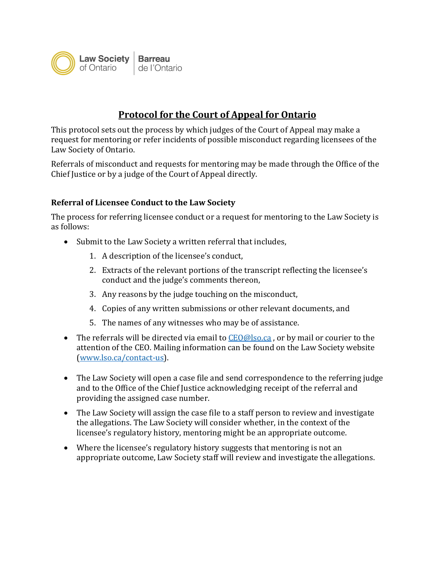

## **Protocol for the Court of Appeal for Ontario**

This protocol sets out the process by which judges of the Court of Appeal may make a request for mentoring or refer incidents of possible misconduct regarding licensees of the Law Society of Ontario.

Referrals of misconduct and requests for mentoring may be made through the Office of the Chief Justice or by a judge of the Court of Appeal directly.

## **Referral of Licensee Conduct to the Law Society**

The process for referring licensee conduct or a request for mentoring to the Law Society is as follows:

- Submit to the Law Society a written referral that includes,
	- 1. A description of the licensee's conduct,
	- 2. Extracts of the relevant portions of the transcript reflecting the licensee's conduct and the judge's comments thereon,
	- 3. Any reasons by the judge touching on the misconduct,
	- 4. Copies of any written submissions or other relevant documents, and
	- 5. The names of any witnesses who may be of assistance.
- The referrals will be directed via email to [CEO@lso.ca](mailto:CEO@lso.ca), or by mail or courier to the attention of the CEO. Mailing information can be found on the Law Society website [\(www.lso.ca/contact-us\)](http://www.lso.ca/contact-us).
- The Law Society will open a case file and send correspondence to the referring judge and to the Office of the Chief Justice acknowledging receipt of the referral and providing the assigned case number.
- The Law Society will assign the case file to a staff person to review and investigate the allegations. The Law Society will consider whether, in the context of the licensee's regulatory history, mentoring might be an appropriate outcome.
- Where the licensee's regulatory history suggests that mentoring is not an appropriate outcome, Law Society staff will review and investigate the allegations.